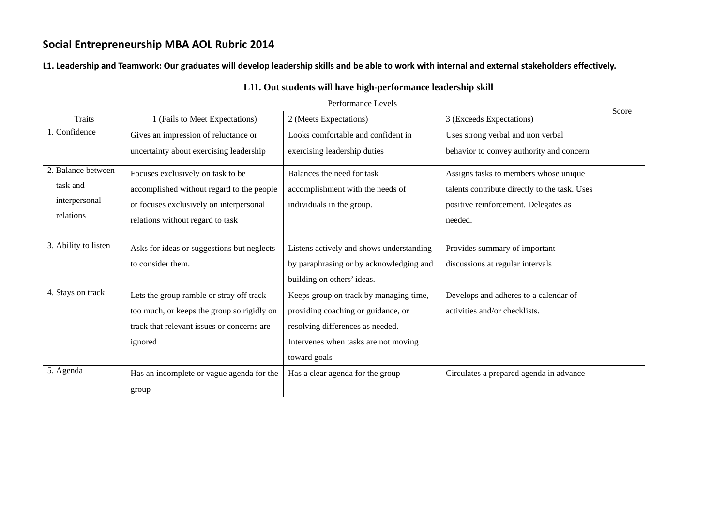L1. Leadership and Teamwork: Our graduates will develop leadership skills and be able to work with internal and external stakeholders effectively.

|                      | Performance Levels                         |                                          |                                               |       |
|----------------------|--------------------------------------------|------------------------------------------|-----------------------------------------------|-------|
| Traits               | 1 (Fails to Meet Expectations)             | 2 (Meets Expectations)                   | 3 (Exceeds Expectations)                      | Score |
| 1. Confidence        | Gives an impression of reluctance or       | Looks comfortable and confident in       | Uses strong verbal and non verbal             |       |
|                      | uncertainty about exercising leadership    | exercising leadership duties             | behavior to convey authority and concern      |       |
| 2. Balance between   | Focuses exclusively on task to be          | Balances the need for task               | Assigns tasks to members whose unique         |       |
| task and             | accomplished without regard to the people  | accomplishment with the needs of         | talents contribute directly to the task. Uses |       |
| interpersonal        | or focuses exclusively on interpersonal    | individuals in the group.                | positive reinforcement. Delegates as          |       |
| relations            | relations without regard to task           |                                          | needed.                                       |       |
|                      |                                            |                                          |                                               |       |
| 3. Ability to listen | Asks for ideas or suggestions but neglects | Listens actively and shows understanding | Provides summary of important                 |       |
|                      | to consider them.                          | by paraphrasing or by acknowledging and  | discussions at regular intervals              |       |
|                      |                                            | building on others' ideas.               |                                               |       |
| 4. Stays on track    | Lets the group ramble or stray off track   | Keeps group on track by managing time,   | Develops and adheres to a calendar of         |       |
|                      | too much, or keeps the group so rigidly on | providing coaching or guidance, or       | activities and/or checklists.                 |       |
|                      | track that relevant issues or concerns are | resolving differences as needed.         |                                               |       |
|                      | ignored                                    | Intervenes when tasks are not moving     |                                               |       |
|                      |                                            | toward goals                             |                                               |       |
| 5. Agenda            | Has an incomplete or vague agenda for the  | Has a clear agenda for the group         | Circulates a prepared agenda in advance       |       |
|                      | group                                      |                                          |                                               |       |

#### **L11. Out students will have high-performance leadership skill**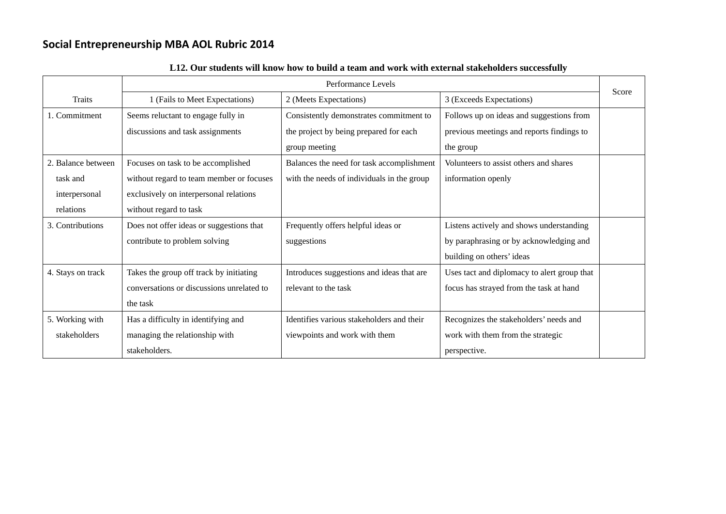|                    | Performance Levels                        |                                            |                                             |       |
|--------------------|-------------------------------------------|--------------------------------------------|---------------------------------------------|-------|
| Traits             | 1 (Fails to Meet Expectations)            | 2 (Meets Expectations)                     | 3 (Exceeds Expectations)                    | Score |
| 1. Commitment      | Seems reluctant to engage fully in        | Consistently demonstrates commitment to    | Follows up on ideas and suggestions from    |       |
|                    | discussions and task assignments          | the project by being prepared for each     | previous meetings and reports findings to   |       |
|                    |                                           | group meeting                              | the group                                   |       |
| 2. Balance between | Focuses on task to be accomplished        | Balances the need for task accomplishment  | Volunteers to assist others and shares      |       |
| task and           | without regard to team member or focuses  | with the needs of individuals in the group | information openly                          |       |
| interpersonal      | exclusively on interpersonal relations    |                                            |                                             |       |
| relations          | without regard to task                    |                                            |                                             |       |
| 3. Contributions   | Does not offer ideas or suggestions that  | Frequently offers helpful ideas or         | Listens actively and shows understanding    |       |
|                    | contribute to problem solving             | suggestions                                | by paraphrasing or by acknowledging and     |       |
|                    |                                           |                                            | building on others' ideas                   |       |
| 4. Stays on track  | Takes the group off track by initiating   | Introduces suggestions and ideas that are  | Uses tact and diplomacy to alert group that |       |
|                    | conversations or discussions unrelated to | relevant to the task                       | focus has strayed from the task at hand     |       |
|                    | the task                                  |                                            |                                             |       |
| 5. Working with    | Has a difficulty in identifying and       | Identifies various stakeholders and their  | Recognizes the stakeholders' needs and      |       |
| stakeholders       | managing the relationship with            | viewpoints and work with them              | work with them from the strategic           |       |
|                    | stakeholders.                             |                                            | perspective.                                |       |

#### **L12. Our students will know how to build a team and work with external stakeholders successfully**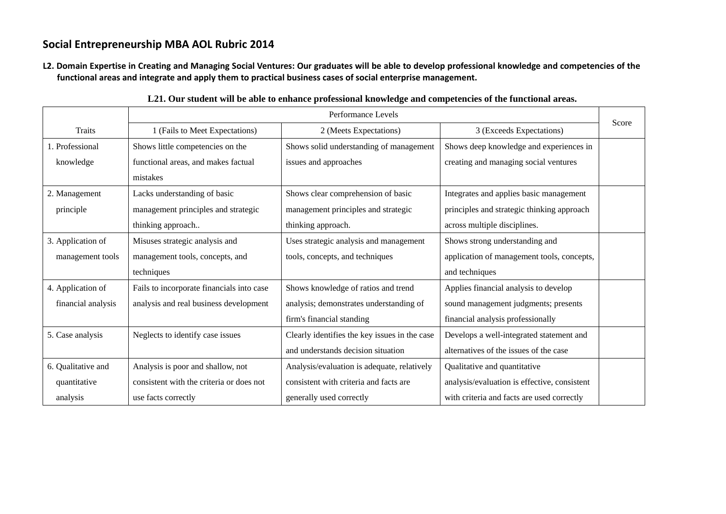L2. Domain Expertise in Creating and Managing Social Ventures: Our graduates will be able to develop professional knowledge and competencies of the **functional areas and integrate and apply them to practical business cases of social enterprise management.**

|                    | Performance Levels                        |                                               |                                              | Score |
|--------------------|-------------------------------------------|-----------------------------------------------|----------------------------------------------|-------|
| Traits             | 1 (Fails to Meet Expectations)            | 2 (Meets Expectations)                        | 3 (Exceeds Expectations)                     |       |
| 1. Professional    | Shows little competencies on the          | Shows solid understanding of management       | Shows deep knowledge and experiences in      |       |
| knowledge          | functional areas, and makes factual       | issues and approaches                         | creating and managing social ventures        |       |
|                    | mistakes                                  |                                               |                                              |       |
| 2. Management      | Lacks understanding of basic              | Shows clear comprehension of basic            | Integrates and applies basic management      |       |
| principle          | management principles and strategic       | management principles and strategic           | principles and strategic thinking approach   |       |
|                    | thinking approach                         | thinking approach.                            | across multiple disciplines.                 |       |
| 3. Application of  | Misuses strategic analysis and            | Uses strategic analysis and management        | Shows strong understanding and               |       |
| management tools   | management tools, concepts, and           | tools, concepts, and techniques               | application of management tools, concepts,   |       |
|                    | techniques                                |                                               | and techniques                               |       |
| 4. Application of  | Fails to incorporate financials into case | Shows knowledge of ratios and trend           | Applies financial analysis to develop        |       |
| financial analysis | analysis and real business development    | analysis; demonstrates understanding of       | sound management judgments; presents         |       |
|                    |                                           | firm's financial standing                     | financial analysis professionally            |       |
| 5. Case analysis   | Neglects to identify case issues          | Clearly identifies the key issues in the case | Develops a well-integrated statement and     |       |
|                    |                                           | and understands decision situation            | alternatives of the issues of the case       |       |
| 6. Qualitative and | Analysis is poor and shallow, not         | Analysis/evaluation is adequate, relatively   | Qualitative and quantitative                 |       |
| quantitative       | consistent with the criteria or does not  | consistent with criteria and facts are        | analysis/evaluation is effective, consistent |       |
| analysis           | use facts correctly                       | generally used correctly                      | with criteria and facts are used correctly   |       |

#### **L21. Our student will be able to enhance professional knowledge and competencies of the functional areas.**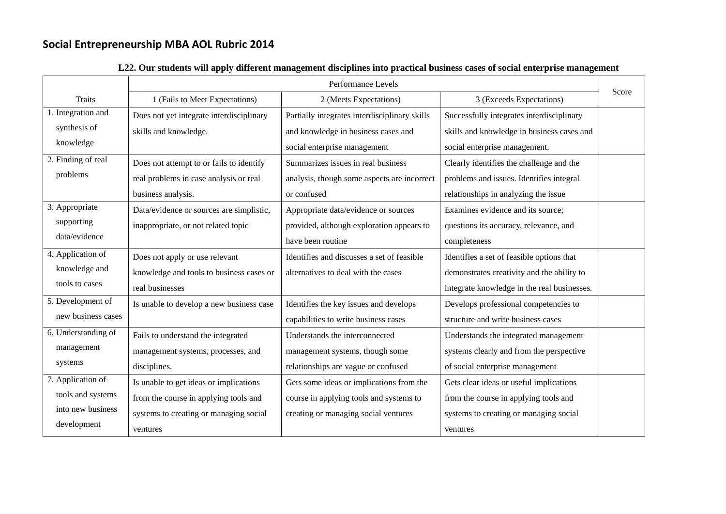|                     |                                          | Performance Levels                            |                                             |       |
|---------------------|------------------------------------------|-----------------------------------------------|---------------------------------------------|-------|
| <b>Traits</b>       | 1 (Fails to Meet Expectations)           | 2 (Meets Expectations)                        | 3 (Exceeds Expectations)                    | Score |
| 1. Integration and  | Does not yet integrate interdisciplinary | Partially integrates interdisciplinary skills | Successfully integrates interdisciplinary   |       |
| synthesis of        | skills and knowledge.                    | and knowledge in business cases and           | skills and knowledge in business cases and  |       |
| knowledge           |                                          | social enterprise management                  | social enterprise management.               |       |
| 2. Finding of real  | Does not attempt to or fails to identify | Summarizes issues in real business            | Clearly identifies the challenge and the    |       |
| problems            | real problems in case analysis or real   | analysis, though some aspects are incorrect   | problems and issues. Identifies integral    |       |
|                     | business analysis.                       | or confused                                   | relationships in analyzing the issue        |       |
| 3. Appropriate      | Data/evidence or sources are simplistic, | Appropriate data/evidence or sources          | Examines evidence and its source;           |       |
| supporting          | inappropriate, or not related topic      | provided, although exploration appears to     | questions its accuracy, relevance, and      |       |
| data/evidence       |                                          | have been routine                             | completeness                                |       |
| 4. Application of   | Does not apply or use relevant           | Identifies and discusses a set of feasible    | Identifies a set of feasible options that   |       |
| knowledge and       | knowledge and tools to business cases or | alternatives to deal with the cases           | demonstrates creativity and the ability to  |       |
| tools to cases      | real businesses                          |                                               | integrate knowledge in the real businesses. |       |
| 5. Development of   | Is unable to develop a new business case | Identifies the key issues and develops        | Develops professional competencies to       |       |
| new business cases  |                                          | capabilities to write business cases          | structure and write business cases          |       |
| 6. Understanding of | Fails to understand the integrated       | Understands the interconnected                | Understands the integrated management       |       |
| management          | management systems, processes, and       | management systems, though some               | systems clearly and from the perspective    |       |
| systems             | disciplines.                             | relationships are vague or confused           | of social enterprise management             |       |
| 7. Application of   | Is unable to get ideas or implications   | Gets some ideas or implications from the      | Gets clear ideas or useful implications     |       |
| tools and systems   | from the course in applying tools and    | course in applying tools and systems to       | from the course in applying tools and       |       |
| into new business   | systems to creating or managing social   | creating or managing social ventures          | systems to creating or managing social      |       |
| development         | ventures                                 |                                               | ventures                                    |       |

### **L22. Our students will apply different management disciplines into practical business cases of social enterprise management**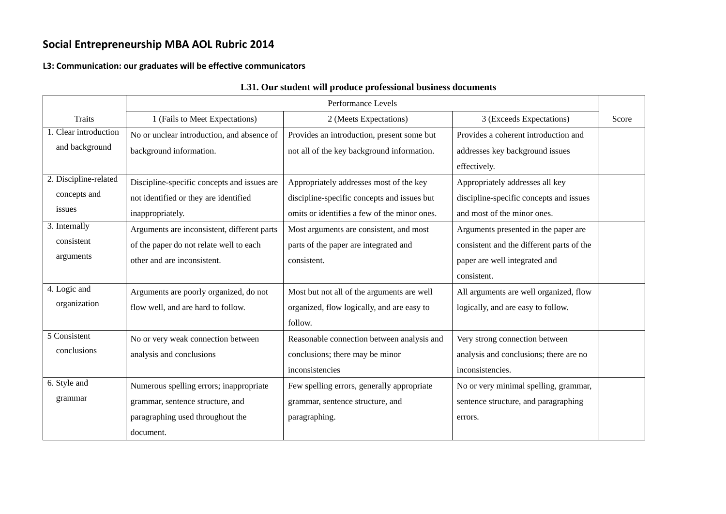#### **L3: Communication: our graduates will be effective communicators**

|                       | Performance Levels                          |                                              |                                           |       |
|-----------------------|---------------------------------------------|----------------------------------------------|-------------------------------------------|-------|
| <b>Traits</b>         | 1 (Fails to Meet Expectations)              | 2 (Meets Expectations)                       | 3 (Exceeds Expectations)                  | Score |
| 1. Clear introduction | No or unclear introduction, and absence of  | Provides an introduction, present some but   | Provides a coherent introduction and      |       |
| and background        | background information.                     | not all of the key background information.   | addresses key background issues           |       |
|                       |                                             |                                              | effectively.                              |       |
| 2. Discipline-related | Discipline-specific concepts and issues are | Appropriately addresses most of the key      | Appropriately addresses all key           |       |
| concepts and          | not identified or they are identified       | discipline-specific concepts and issues but  | discipline-specific concepts and issues   |       |
| issues                | inappropriately.                            | omits or identifies a few of the minor ones. | and most of the minor ones.               |       |
| 3. Internally         | Arguments are inconsistent, different parts | Most arguments are consistent, and most      | Arguments presented in the paper are      |       |
| consistent            | of the paper do not relate well to each     | parts of the paper are integrated and        | consistent and the different parts of the |       |
| arguments             | other and are inconsistent.                 | consistent.                                  | paper are well integrated and             |       |
|                       |                                             |                                              | consistent.                               |       |
| 4. Logic and          | Arguments are poorly organized, do not      | Most but not all of the arguments are well   | All arguments are well organized, flow    |       |
| organization          | flow well, and are hard to follow.          | organized, flow logically, and are easy to   | logically, and are easy to follow.        |       |
|                       |                                             | follow.                                      |                                           |       |
| 5 Consistent          | No or very weak connection between          | Reasonable connection between analysis and   | Very strong connection between            |       |
| conclusions           | analysis and conclusions                    | conclusions; there may be minor              | analysis and conclusions; there are no    |       |
|                       |                                             | inconsistencies                              | inconsistencies.                          |       |
| 6. Style and          | Numerous spelling errors; inappropriate     | Few spelling errors, generally appropriate   | No or very minimal spelling, grammar,     |       |
| grammar               | grammar, sentence structure, and            | grammar, sentence structure, and             | sentence structure, and paragraphing      |       |
|                       | paragraphing used throughout the            | paragraphing.                                | errors.                                   |       |
|                       | document.                                   |                                              |                                           |       |

#### **L31. Our student will produce professional business documents**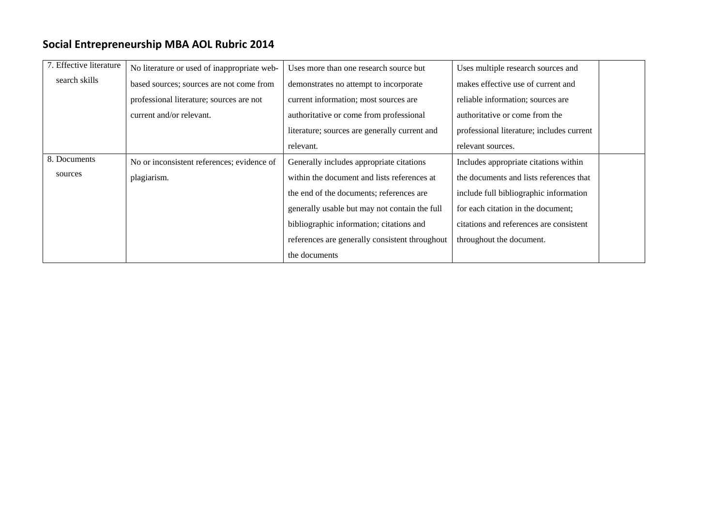| 7. Effective literature | No literature or used of inappropriate web- | Uses more than one research source but         | Uses multiple research sources and        |
|-------------------------|---------------------------------------------|------------------------------------------------|-------------------------------------------|
| search skills           | based sources; sources are not come from    | demonstrates no attempt to incorporate         | makes effective use of current and        |
|                         | professional literature; sources are not    | current information; most sources are          | reliable information; sources are         |
|                         | current and/or relevant.                    | authoritative or come from professional        | authoritative or come from the            |
|                         |                                             | literature; sources are generally current and  | professional literature; includes current |
|                         |                                             | relevant.                                      | relevant sources.                         |
| 8. Documents            | No or inconsistent references; evidence of  | Generally includes appropriate citations       | Includes appropriate citations within     |
| sources                 | plagiarism.                                 | within the document and lists references at    | the documents and lists references that   |
|                         |                                             | the end of the documents; references are       | include full bibliographic information    |
|                         |                                             | generally usable but may not contain the full  | for each citation in the document;        |
|                         |                                             | bibliographic information; citations and       | citations and references are consistent   |
|                         |                                             | references are generally consistent throughout | throughout the document.                  |
|                         |                                             | the documents                                  |                                           |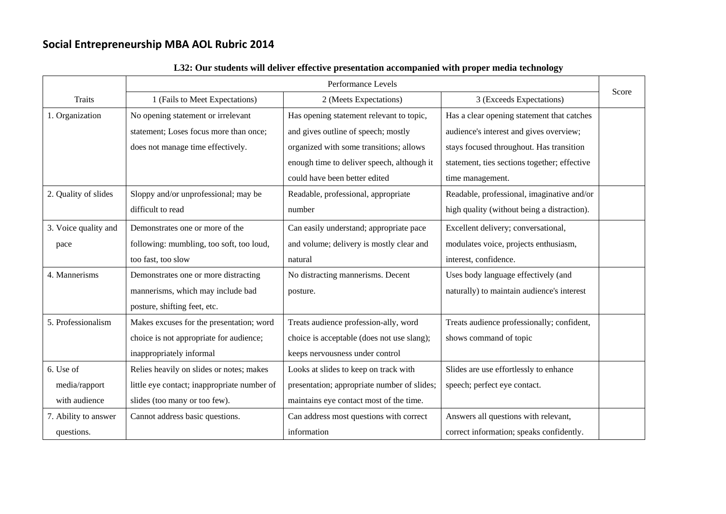|                      |                                             | Performance Levels                          |                                              |       |
|----------------------|---------------------------------------------|---------------------------------------------|----------------------------------------------|-------|
| <b>Traits</b>        | 1 (Fails to Meet Expectations)              | 2 (Meets Expectations)                      | 3 (Exceeds Expectations)                     | Score |
| 1. Organization      | No opening statement or irrelevant          | Has opening statement relevant to topic,    | Has a clear opening statement that catches   |       |
|                      | statement; Loses focus more than once;      | and gives outline of speech; mostly         | audience's interest and gives overview;      |       |
|                      | does not manage time effectively.           | organized with some transitions; allows     | stays focused throughout. Has transition     |       |
|                      |                                             | enough time to deliver speech, although it  | statement, ties sections together; effective |       |
|                      |                                             | could have been better edited               | time management.                             |       |
| 2. Quality of slides | Sloppy and/or unprofessional; may be        | Readable, professional, appropriate         | Readable, professional, imaginative and/or   |       |
|                      | difficult to read                           | number                                      | high quality (without being a distraction).  |       |
| 3. Voice quality and | Demonstrates one or more of the             | Can easily understand; appropriate pace     | Excellent delivery; conversational,          |       |
| pace                 | following: mumbling, too soft, too loud,    | and volume; delivery is mostly clear and    | modulates voice, projects enthusiasm,        |       |
|                      | too fast, too slow                          | natural                                     | interest, confidence.                        |       |
| 4. Mannerisms        | Demonstrates one or more distracting        | No distracting mannerisms. Decent           | Uses body language effectively (and          |       |
|                      | mannerisms, which may include bad           | posture.                                    | naturally) to maintain audience's interest   |       |
|                      | posture, shifting feet, etc.                |                                             |                                              |       |
| 5. Professionalism   | Makes excuses for the presentation; word    | Treats audience profession-ally, word       | Treats audience professionally; confident,   |       |
|                      | choice is not appropriate for audience;     | choice is acceptable (does not use slang);  | shows command of topic                       |       |
|                      | inappropriately informal                    | keeps nervousness under control             |                                              |       |
| 6. Use of            | Relies heavily on slides or notes; makes    | Looks at slides to keep on track with       | Slides are use effortlessly to enhance       |       |
| media/rapport        | little eye contact; inappropriate number of | presentation; appropriate number of slides; | speech; perfect eye contact.                 |       |
| with audience        | slides (too many or too few).               | maintains eye contact most of the time.     |                                              |       |
| 7. Ability to answer | Cannot address basic questions.             | Can address most questions with correct     | Answers all questions with relevant,         |       |
| questions.           |                                             | information                                 | correct information; speaks confidently.     |       |

### **L32: Our students will deliver effective presentation accompanied with proper media technology**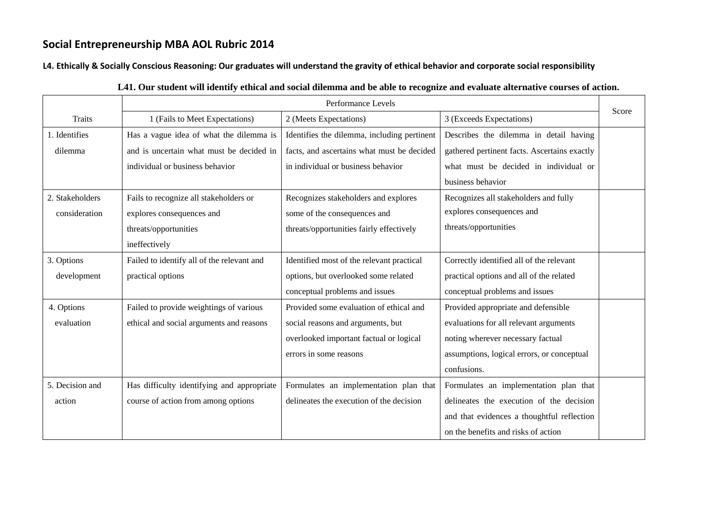#### L4. Ethically & Socially Conscious Reasoning: Our graduates will understand the gravity of ethical behavior and corporate social responsibility

|                 | Performance Levels                         |                                             |                                              | Score |
|-----------------|--------------------------------------------|---------------------------------------------|----------------------------------------------|-------|
| <b>Traits</b>   | 1 (Fails to Meet Expectations)             | 2 (Meets Expectations)                      | 3 (Exceeds Expectations)                     |       |
| 1. Identifies   | Has a vague idea of what the dilemma is    | Identifies the dilemma, including pertinent | Describes the dilemma in detail having       |       |
| dilemma         | and is uncertain what must be decided in   | facts, and ascertains what must be decided  | gathered pertinent facts. Ascertains exactly |       |
|                 | individual or business behavior            | in individual or business behavior          | what must be decided in individual or        |       |
|                 |                                            |                                             | business behavior                            |       |
| 2. Stakeholders | Fails to recognize all stakeholders or     | Recognizes stakeholders and explores        | Recognizes all stakeholders and fully        |       |
| consideration   | explores consequences and                  | some of the consequences and                | explores consequences and                    |       |
|                 | threats/opportunities                      | threats/opportunities fairly effectively    | threats/opportunities                        |       |
|                 | ineffectively                              |                                             |                                              |       |
| 3. Options      | Failed to identify all of the relevant and | Identified most of the relevant practical   | Correctly identified all of the relevant     |       |
| development     | practical options                          | options, but overlooked some related        | practical options and all of the related     |       |
|                 |                                            | conceptual problems and issues              | conceptual problems and issues               |       |
| 4. Options      | Failed to provide weightings of various    | Provided some evaluation of ethical and     | Provided appropriate and defensible          |       |
| evaluation      | ethical and social arguments and reasons   | social reasons and arguments, but           | evaluations for all relevant arguments       |       |
|                 |                                            | overlooked important factual or logical     | noting wherever necessary factual            |       |
|                 |                                            | errors in some reasons                      | assumptions, logical errors, or conceptual   |       |
|                 |                                            |                                             | confusions.                                  |       |
| 5. Decision and | Has difficulty identifying and appropriate | Formulates an implementation plan that      | Formulates an implementation plan that       |       |
| action          | course of action from among options        | delineates the execution of the decision    | delineates the execution of the decision     |       |
|                 |                                            |                                             | and that evidences a thoughtful reflection   |       |
|                 |                                            |                                             | on the benefits and risks of action          |       |

#### **L41. Our student will identify ethical and social dilemma and be able to recognize and evaluate alternative courses of action.**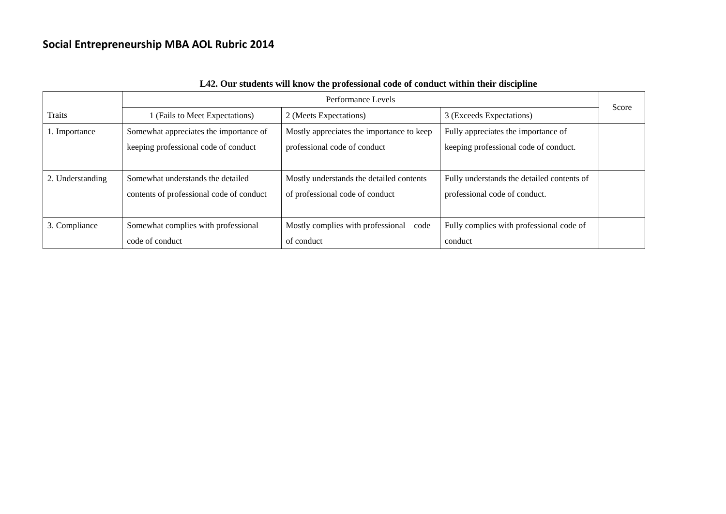|                  | Performance Levels                       |                                           |                                            |       |
|------------------|------------------------------------------|-------------------------------------------|--------------------------------------------|-------|
| Traits           | 1 (Fails to Meet Expectations)           | 2 (Meets Expectations)                    | 3 (Exceeds Expectations)                   | Score |
| 1. Importance    | Somewhat appreciates the importance of   | Mostly appreciates the importance to keep | Fully appreciates the importance of        |       |
|                  | keeping professional code of conduct     | professional code of conduct              | keeping professional code of conduct.      |       |
|                  |                                          |                                           |                                            |       |
| 2. Understanding | Somewhat understands the detailed        | Mostly understands the detailed contents  | Fully understands the detailed contents of |       |
|                  | contents of professional code of conduct | of professional code of conduct           | professional code of conduct.              |       |
|                  |                                          |                                           |                                            |       |
| 3. Compliance    | Somewhat complies with professional      | Mostly complies with professional code    | Fully complies with professional code of   |       |
|                  | code of conduct                          | of conduct                                | conduct                                    |       |

### **L42. Our students will know the professional code of conduct within their discipline**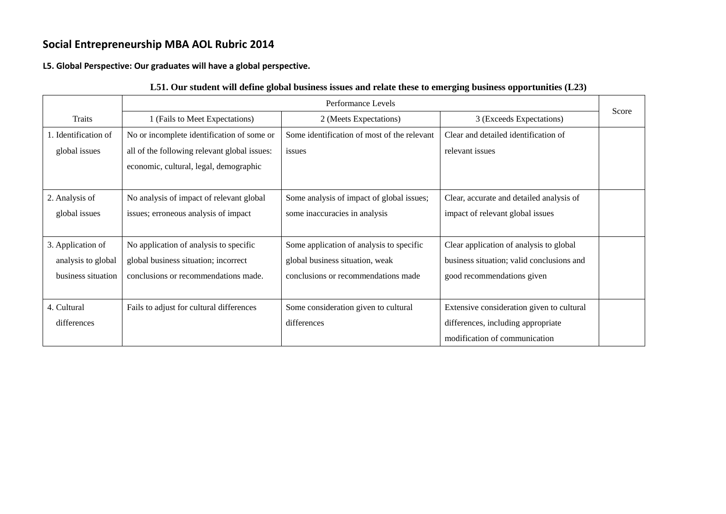#### **L5. Global Perspective: Our graduates will have <sup>a</sup> global perspective.**

|                      | Performance Levels                           |                                             |                                           | Score |
|----------------------|----------------------------------------------|---------------------------------------------|-------------------------------------------|-------|
| <b>Traits</b>        | 1 (Fails to Meet Expectations)               | 2 (Meets Expectations)                      | 3 (Exceeds Expectations)                  |       |
| 1. Identification of | No or incomplete identification of some or   | Some identification of most of the relevant | Clear and detailed identification of      |       |
| global issues        | all of the following relevant global issues: | issues                                      | relevant issues                           |       |
|                      | economic, cultural, legal, demographic       |                                             |                                           |       |
|                      |                                              |                                             |                                           |       |
| 2. Analysis of       | No analysis of impact of relevant global     | Some analysis of impact of global issues;   | Clear, accurate and detailed analysis of  |       |
| global issues        | issues; erroneous analysis of impact         | some inaccuracies in analysis               | impact of relevant global issues          |       |
|                      |                                              |                                             |                                           |       |
| 3. Application of    | No application of analysis to specific       | Some application of analysis to specific    | Clear application of analysis to global   |       |
| analysis to global   | global business situation; incorrect         | global business situation, weak             | business situation; valid conclusions and |       |
| business situation   | conclusions or recommendations made.         | conclusions or recommendations made         | good recommendations given                |       |
|                      |                                              |                                             |                                           |       |
| 4. Cultural          | Fails to adjust for cultural differences     | Some consideration given to cultural        | Extensive consideration given to cultural |       |
| differences          |                                              | differences                                 | differences, including appropriate        |       |
|                      |                                              |                                             | modification of communication             |       |

#### **L51. Our student will define global business issues and relate these to emerging business opportunities (L23)**